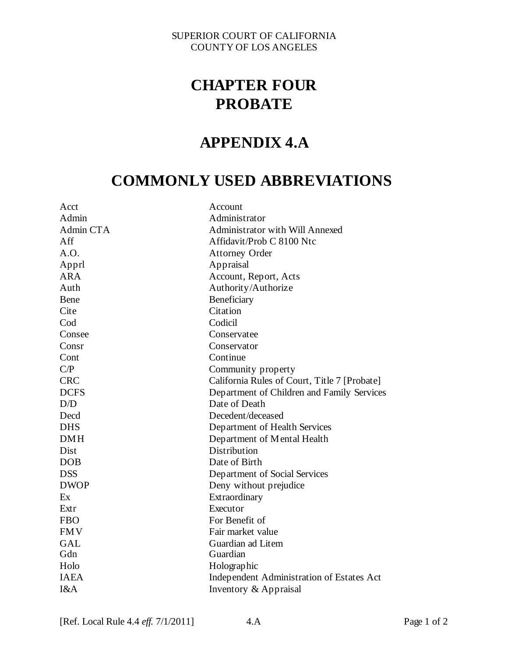#### SUPERIOR COURT OF CALIFORNIA COUNTY OF LOS ANGELES

# **CHAPTER FOUR PROBATE**

## **APPENDIX 4.A**

# **COMMONLY USED ABBREVIATIONS**

| Acct        | Account                                      |
|-------------|----------------------------------------------|
| Admin       | Administrator                                |
| Admin CTA   | Administrator with Will Annexed              |
| Aff         | Affidavit/Prob C 8100 Ntc                    |
| A.O.        | <b>Attorney Order</b>                        |
| Apprl       | Appraisal                                    |
| <b>ARA</b>  | Account, Report, Acts                        |
| Auth        | Authority/Authorize                          |
| Bene        | Beneficiary                                  |
| Cite        | Citation                                     |
| Cod         | Codicil                                      |
| Consee      | Conservatee                                  |
| Consr       | Conservator                                  |
| Cont        | Continue                                     |
| C/P         | Community property                           |
| <b>CRC</b>  | California Rules of Court, Title 7 [Probate] |
| <b>DCFS</b> | Department of Children and Family Services   |
| D/D         | Date of Death                                |
| Decd        | Decedent/deceased                            |
| <b>DHS</b>  | Department of Health Services                |
| <b>DMH</b>  | Department of Mental Health                  |
| Dist        | Distribution                                 |
| <b>DOB</b>  | Date of Birth                                |
| <b>DSS</b>  | Department of Social Services                |
| <b>DWOP</b> | Deny without prejudice                       |
| Ex          | Extraordinary                                |
| Extr        | Executor                                     |
| <b>FBO</b>  | For Benefit of                               |
| <b>FMV</b>  | Fair market value                            |
| <b>GAL</b>  | Guardian ad Litem                            |
| Gdn         | Guardian                                     |
| Holo        | Holographic                                  |
| <b>IAEA</b> | Independent Administration of Estates Act    |
| I&A         | Inventory & Appraisal                        |